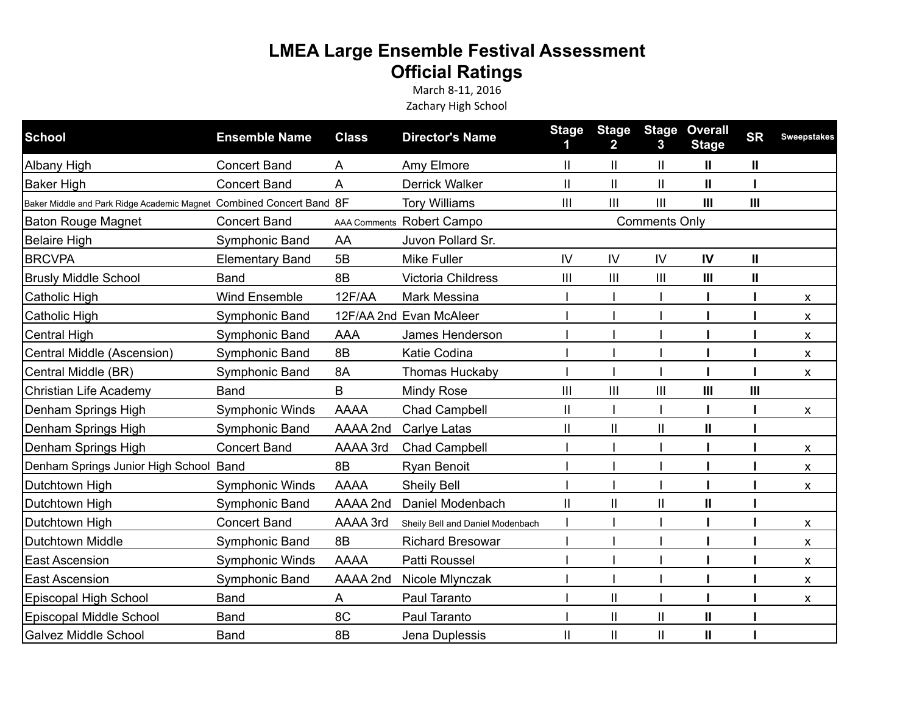## **LMEA Large Ensemble Festival Assessment Official Ratings**

March 8-11, 2016 Zachary High School

| <b>School</b>                                                        | <b>Ensemble Name</b>   | <b>Class</b> | <b>Director's Name</b>           | <b>Stage</b>         | <b>Stage</b><br>$\mathbf{2}$ | <b>Stage</b><br>3 | <b>Overall</b><br><b>Stage</b> | <b>SR</b>    | <b>Sweepstakes</b> |
|----------------------------------------------------------------------|------------------------|--------------|----------------------------------|----------------------|------------------------------|-------------------|--------------------------------|--------------|--------------------|
| Albany High                                                          | <b>Concert Band</b>    | A            | Amy Elmore                       | Ш                    | Ш                            | Ш                 | Ш                              | Ш            |                    |
| <b>Baker High</b>                                                    | <b>Concert Band</b>    | A            | <b>Derrick Walker</b>            | П                    | $\mathbf{I}$                 | $\mathbf{I}$      | $\mathbf{I}$                   |              |                    |
| Baker Middle and Park Ridge Academic Magnet Combined Concert Band 8F |                        |              | <b>Tory Williams</b>             | Ш                    | III                          | $\mathbf{III}$    | III                            | Ш            |                    |
| <b>Baton Rouge Magnet</b>                                            | <b>Concert Band</b>    |              | AAA Comments Robert Campo        | <b>Comments Only</b> |                              |                   |                                |              |                    |
| <b>Belaire High</b>                                                  | Symphonic Band         | AA           | Juvon Pollard Sr.                |                      |                              |                   |                                |              |                    |
| <b>BRCVPA</b>                                                        | <b>Elementary Band</b> | 5B           | <b>Mike Fuller</b>               | IV                   | IV                           | IV                | IV                             | $\mathbf{H}$ |                    |
| <b>Brusly Middle School</b>                                          | <b>Band</b>            | 8B           | Victoria Childress               | Ш                    | III                          | $\mathbf{III}$    | $\mathbf{III}$                 | Ш            |                    |
| Catholic High                                                        | <b>Wind Ensemble</b>   | 12F/AA       | Mark Messina                     |                      |                              |                   |                                |              | X                  |
| Catholic High                                                        | Symphonic Band         |              | 12F/AA 2nd Evan McAleer          |                      |                              |                   |                                |              | X                  |
| <b>Central High</b>                                                  | Symphonic Band         | <b>AAA</b>   | James Henderson                  |                      |                              |                   |                                |              | X                  |
| Central Middle (Ascension)                                           | Symphonic Band         | 8B           | Katie Codina                     |                      |                              |                   |                                |              | X                  |
| Central Middle (BR)                                                  | Symphonic Band         | 8A           | Thomas Huckaby                   |                      |                              |                   |                                |              | X                  |
| Christian Life Academy                                               | <b>Band</b>            | B            | Mindy Rose                       | Ш                    | $\mathbf{III}$               | $\mathbf{III}$    | Ш                              | Ш            |                    |
| Denham Springs High                                                  | <b>Symphonic Winds</b> | <b>AAAA</b>  | <b>Chad Campbell</b>             | Ш                    |                              |                   |                                |              | X                  |
| Denham Springs High                                                  | Symphonic Band         | AAAA 2nd     | Carlye Latas                     | Ш                    | $\mathsf{II}$                | $\mathbf{I}$      | $\mathbf{I}$                   |              |                    |
| Denham Springs High                                                  | <b>Concert Band</b>    | AAAA 3rd     | <b>Chad Campbell</b>             |                      |                              |                   |                                |              | X                  |
| Denham Springs Junior High School Band                               |                        | 8B           | Ryan Benoit                      |                      |                              |                   |                                |              | X                  |
| Dutchtown High                                                       | <b>Symphonic Winds</b> | <b>AAAA</b>  | <b>Sheily Bell</b>               |                      |                              |                   |                                |              | X                  |
| Dutchtown High                                                       | Symphonic Band         | AAAA 2nd     | Daniel Modenbach                 | Ш                    | $\mathbf{I}$                 | $\mathbf{I}$      | $\mathbf{I}$                   |              |                    |
| Dutchtown High                                                       | <b>Concert Band</b>    | AAAA 3rd     | Sheily Bell and Daniel Modenbach |                      |                              |                   |                                |              | X                  |
| <b>Dutchtown Middle</b>                                              | Symphonic Band         | 8B           | <b>Richard Bresowar</b>          |                      |                              |                   |                                |              | X                  |
| <b>East Ascension</b>                                                | <b>Symphonic Winds</b> | <b>AAAA</b>  | Patti Roussel                    |                      |                              |                   |                                |              | X                  |
| <b>East Ascension</b>                                                | Symphonic Band         | AAAA 2nd     | Nicole Mlynczak                  |                      |                              |                   |                                |              | X                  |
| Episcopal High School                                                | <b>Band</b>            | A            | Paul Taranto                     |                      | $\mathbf{I}$                 |                   |                                |              | X                  |
| Episcopal Middle School                                              | <b>Band</b>            | 8C           | Paul Taranto                     |                      | $\ensuremath{\mathsf{II}}$   | $\mathbf{I}$      | Ш                              |              |                    |
| <b>Galvez Middle School</b>                                          | <b>Band</b>            | 8B           | Jena Duplessis                   | Ш                    | $\mathbf{I}$                 | $\mathbf{II}$     | Ш                              |              |                    |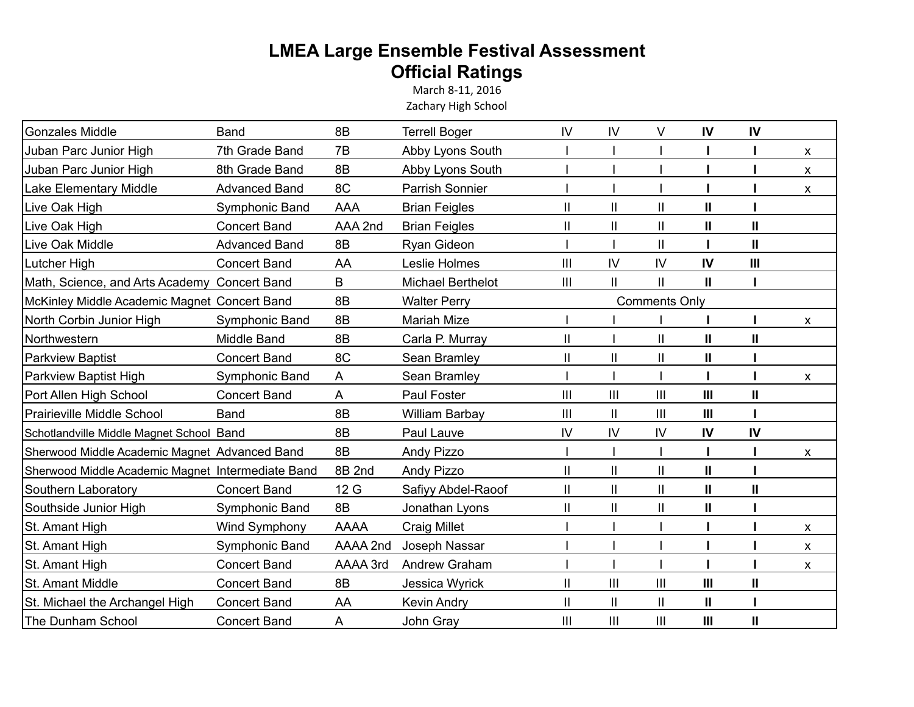## **LMEA Large Ensemble Festival Assessment Official Ratings**

March 8-11, 2016 Zachary High School

| <b>Gonzales Middle</b>                            | <b>Band</b>          | 8B           | <b>Terrell Boger</b>   | IV             | IV                   | V              | IV  | IV           |   |
|---------------------------------------------------|----------------------|--------------|------------------------|----------------|----------------------|----------------|-----|--------------|---|
| Juban Parc Junior High                            | 7th Grade Band       | 7B           | Abby Lyons South       |                |                      |                |     |              | X |
| Juban Parc Junior High                            | 8th Grade Band       | 8B           | Abby Lyons South       |                |                      |                |     |              | X |
| Lake Elementary Middle                            | <b>Advanced Band</b> | 8C           | <b>Parrish Sonnier</b> |                |                      |                |     |              | X |
| Live Oak High                                     | Symphonic Band       | <b>AAA</b>   | <b>Brian Feigles</b>   | Ш              | $\mathbf{I}$         | $\mathbf{I}$   | Ш   |              |   |
| Live Oak High                                     | <b>Concert Band</b>  | AAA 2nd      | <b>Brian Feigles</b>   | Ш              | $\mathbf{I}$         | Ш              | II  | $\mathbf{I}$ |   |
| Live Oak Middle                                   | <b>Advanced Band</b> | 8B           | Ryan Gideon            |                |                      | Ш              |     | $\mathbf{I}$ |   |
| Lutcher High                                      | <b>Concert Band</b>  | AA           | Leslie Holmes          | $\mathbf{III}$ | IV                   | IV             | IV  | $\mathbf{H}$ |   |
| Math, Science, and Arts Academy Concert Band      |                      | $\mathsf{B}$ | Michael Berthelot      | III            | $\mathbf{I}$         | Ш              | Ш   |              |   |
| McKinley Middle Academic Magnet Concert Band      |                      | 8B           | <b>Walter Perry</b>    |                | <b>Comments Only</b> |                |     |              |   |
| North Corbin Junior High                          | Symphonic Band       | 8B           | Mariah Mize            |                |                      |                |     |              | X |
| Northwestern                                      | Middle Band          | 8B           | Carla P. Murray        | $\mathbf{I}$   |                      | $\mathbf{I}$   | Ш   | $\mathbf{I}$ |   |
| <b>Parkview Baptist</b>                           | <b>Concert Band</b>  | 8C           | Sean Bramley           | Ш              | $\mathbf{I}$         | $\mathbf{II}$  | Ш   |              |   |
| Parkview Baptist High                             | Symphonic Band       | A            | Sean Bramley           |                |                      |                |     |              | X |
| Port Allen High School                            | <b>Concert Band</b>  | A            | Paul Foster            | III            | III                  | Ш              | III | Ш            |   |
| Prairieville Middle School                        | Band                 | 8B           | <b>William Barbay</b>  | $\mathbf{III}$ | $\mathsf{II}$        | $\mathbf{III}$ | III |              |   |
| Schotlandville Middle Magnet School Band          |                      | 8B           | Paul Lauve             | IV             | IV                   | IV             | IV  | IV           |   |
| Sherwood Middle Academic Magnet Advanced Band     |                      | 8B           | Andy Pizzo             |                |                      |                |     |              | X |
| Sherwood Middle Academic Magnet Intermediate Band |                      | 8B 2nd       | Andy Pizzo             | Ш              | $\mathbf{I}$         | $\mathbf{II}$  | II  |              |   |
| Southern Laboratory                               | <b>Concert Band</b>  | 12 G         | Safiyy Abdel-Raoof     | Ш              | $\mathbf{I}$         | Ш              | II  | Ш            |   |
| Southside Junior High                             | Symphonic Band       | 8B           | Jonathan Lyons         | Ш              | $\mathbf{I}$         | $\mathbf{I}$   | Ш   |              |   |
| St. Amant High                                    | Wind Symphony        | AAAA         | <b>Craig Millet</b>    |                |                      |                |     |              | X |
| St. Amant High                                    | Symphonic Band       | AAAA 2nd     | Joseph Nassar          |                |                      |                |     |              | X |
| St. Amant High                                    | <b>Concert Band</b>  | AAAA 3rd     | Andrew Graham          |                |                      |                |     |              | X |
| St. Amant Middle                                  | <b>Concert Band</b>  | 8B           | Jessica Wyrick         | Ш              | III                  | $\mathbf{III}$ | III | Ш            |   |
| St. Michael the Archangel High                    | <b>Concert Band</b>  | AA           | <b>Kevin Andry</b>     | Ш              | $\mathbf{I}$         | $\mathbf{II}$  | Ш   |              |   |
| The Dunham School                                 | <b>Concert Band</b>  | A            | John Gray              | Ш              | III                  | Ш              | III | Ш            |   |